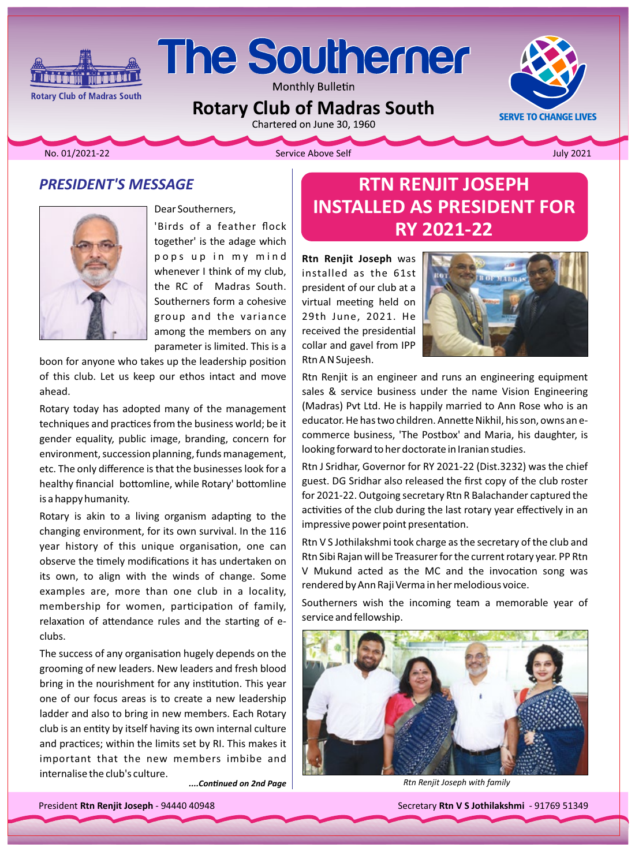

Monthly Bulletin

**Rotary Club of Madras South** 

Chartered on June 30, 1960

No. 01/2021-22

**Rotary Club of Madras South** 

Service Above Self

**July 2021** 

**SERVE TO CHANGE LIVES** 

#### **PRESIDENT'S MESSAGE**

**final article is the final political article** 



Dear Southerners, 'Birds of a feather flock together' is the adage which pops up in my mind whenever I think of my club, the RC of Madras South. Southerners form a cohesive group and the variance among the members on any parameter is limited. This is a

boon for anyone who takes up the leadership position of this club. Let us keep our ethos intact and move ahead.

Rotary today has adopted many of the management techniques and practices from the business world; be it gender equality, public image, branding, concern for environment, succession planning, funds management, etc. The only difference is that the businesses look for a healthy financial bottomline, while Rotary' bottomline is a happy humanity.

Rotary is akin to a living organism adapting to the changing environment, for its own survival. In the 116 year history of this unique organisation, one can observe the timely modifications it has undertaken on its own, to align with the winds of change. Some examples are, more than one club in a locality, membership for women, participation of family, relaxation of attendance rules and the starting of eclubs.

The success of any organisation hugely depends on the grooming of new leaders. New leaders and fresh blood bring in the nourishment for any institution. This year one of our focus areas is to create a new leadership ladder and also to bring in new members. Each Rotary club is an entity by itself having its own internal culture and practices; within the limits set by RI. This makes it important that the new members imbibe and internalise the club's culture.

....Continued on 2nd Paae

# **RTN RENJIT JOSEPH INSTALLED AS PRESIDENT FOR RY 2021-22**

Rtn Renjit Joseph was installed as the 61st president of our club at a virtual meeting held on 29th June, 2021. He received the presidential collar and gavel from IPP Rtn A N Sujeesh.



Rtn Renjit is an engineer and runs an engineering equipment sales & service business under the name Vision Engineering (Madras) Pvt Ltd. He is happily married to Ann Rose who is an educator. He has two children. Annette Nikhil, his son, owns an ecommerce business, 'The Postbox' and Maria, his daughter, is looking forward to her doctorate in Iranian studies.

Rtn J Sridhar, Governor for RY 2021-22 (Dist.3232) was the chief guest. DG Sridhar also released the first copy of the club roster for 2021-22. Outgoing secretary Rtn R Balachander captured the activities of the club during the last rotary year effectively in an impressive power point presentation.

Rtn V S Jothilakshmi took charge as the secretary of the club and Rtn Sibi Rajan will be Treasurer for the current rotary year. PP Rtn V Mukund acted as the MC and the invocation song was rendered by Ann Raji Verma in her melodious voice.

Southerners wish the incoming team a memorable year of service and fellowship.



Rtn Renjit Joseph with family

President Rtn Renjit Joseph - 94440 40948

Secretary Rtn V S Jothilakshmi - 91769 51349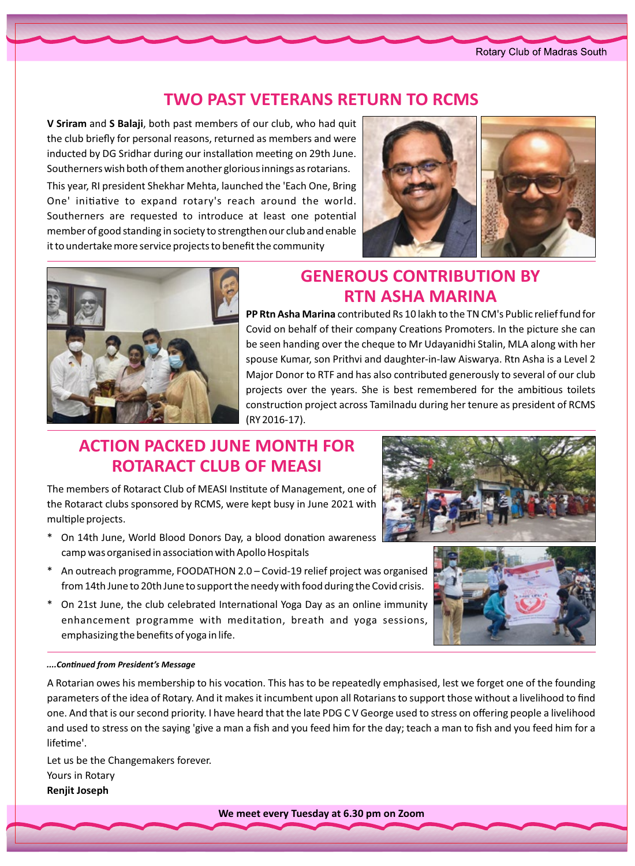#### **TWO PAST VETERANS RETURN TO RCMS**

V Sriram and S Balaji, both past members of our club, who had quit the club briefly for personal reasons, returned as members and were inducted by DG Sridhar during our installation meeting on 29th June. Southerners wish both of them another glorious innings as rotarians. This year, RI president Shekhar Mehta, launched the 'Each One, Bring One' initiative to expand rotary's reach around the world. Southerners are requested to introduce at least one potential member of good standing in society to strengthen our club and enable it to undertake more service projects to benefit the community





# *GENEROUS CONTRIBUTION BY* **RTN ASHA MARINA**

**PP Rtn Asha Marina** contributed Rs 10 lakh to the TN CM's Public relief fund for Covid on behalf of their company Creations Promoters. In the picture she can be seen handing over the cheque to Mr Udayanidhi Stalin, MLA along with her spouse Kumar, son Prithvi and daughter-in-law Aiswarya. Rtn Asha is a Level 2 Major Donor to RTF and has also contributed generously to several of our club projects over the years. She is best remembered for the ambitious toilets construction project across Tamilnadu during her tenure as president of RCMS (RY 2016-17).

# **ACTION PACKED JUNE MONTH FOR ROTARACT CLUB OF MEASI**

The members of Rotaract Club of MEASI Institute of Management, one of the Rotaract clubs sponsored by RCMS, were kept busy in June 2021 with multiple projects.

- On 14th June, World Blood Donors Day, a blood donation awareness camp was organised in association with Apollo Hospitals
- \* An outreach programme, FOODATHON 2.0 Covid-19 relief project was organised from 14th June to 20th June to support the needy with food during the Covid crisis.
- \* On 21st June, the club celebrated International Yoga Day as an online immunity enhancement programme with meditation, breath and yoga sessions, emphasizing the benefits of yoga in life.

#### *Message s'President from ConƟnƵed....*

A Rotarian owes his membership to his vocation. This has to be repeatedly emphasised, lest we forget one of the founding parameters of the idea of Rotary. And it makes it incumbent upon all Rotarians to support those without a livelihood to find one. And that is our second priority. I have heard that the late PDG CV George used to stress on offering people a livelihood and used to stress on the saying 'give a man a fish and you feed him for the day; teach a man to fish and you feed him for a lifetime'.

Let us be the Changemakers forever. Yours in Rotary **Renjit Joseph** 



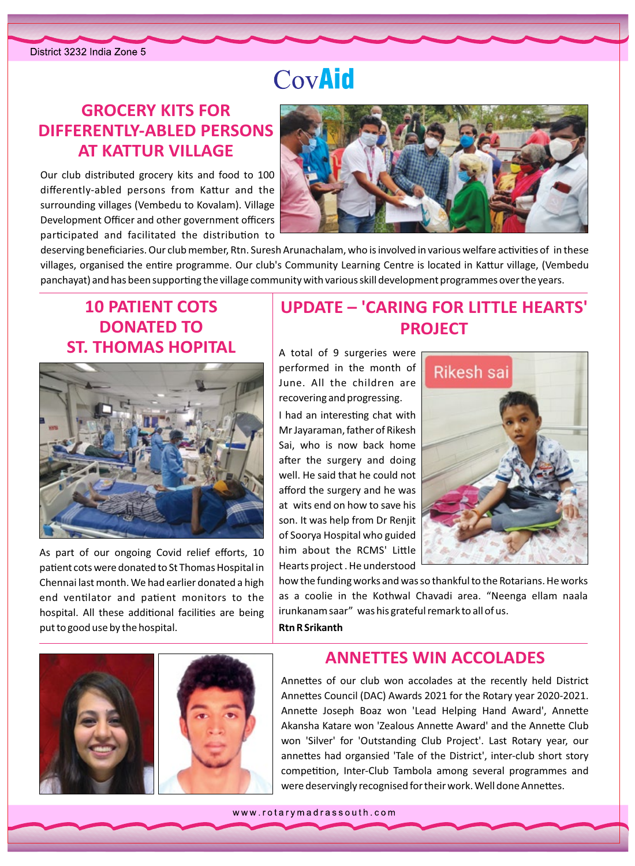# CovAid

### **GROCERY KITS FOR DIFFERENTLY-ABLED PERSONS AT KATTUR VILLAGE**

Our club distributed grocery kits and food to 100 differently-abled persons from Kattur and the surrounding villages (Vembedu to Kovalam). Village Development Officer and other government officers participated and facilitated the distribution to



deserving beneficiaries. Our club member, Rtn. Suresh Arunachalam, who is involved in various welfare activities of in these villages, organised the entire programme. Our club's Community Learning Centre is located in Kattur village, (Vembedu panchayat) and has been supporting the village community with various skill development programmes over the years.

### **10 PATIENT COTS DONATED TO ST. THOMAS HOPITAL**



As part of our ongoing Covid relief efforts, 10 patient cots were donated to St Thomas Hospital in Chennai last month. We had earlier donated a high end ventilator and patient monitors to the hospital. All these additional facilities are being put to good use by the hospital.

### **UPDATE - 'CARING FOR LITTLE HEARTS' PROJECT**

A total of 9 surgeries were performed in the month of June. All the children are recovering and progressing. I had an interesting chat with Mr Jayaraman, father of Rikesh Sai, who is now back home after the surgery and doing well. He said that he could not afford the surgery and he was at wits end on how to save his son. It was help from Dr Renjit of Soorya Hospital who guided him about the RCMS' Little Hearts project . He understood



how the funding works and was so thankful to the Rotarians. He works as a coolie in the Kothwal Chavadi area. "Neenga ellam naala irunkanam saar" was his grateful remark to all of us. **Rtn R Srikanth** 



#### **ANNETTES WIN ACCOLADES**

Annettes of our club won accolades at the recently held District Annettes Council (DAC) Awards 2021 for the Rotary year 2020-2021. Annette Joseph Boaz won 'Lead Helping Hand Award', Annette Akansha Katare won 'Zealous Annette Award' and the Annette Club won 'Silver' for 'Outstanding Club Project'. Last Rotary year, our annettes had organsied 'Tale of the District', inter-club short story competition. Inter-Club Tambola among several programmes and were deservingly recognised for their work. Well done Annettes.

www.rotarymadrassouth.com